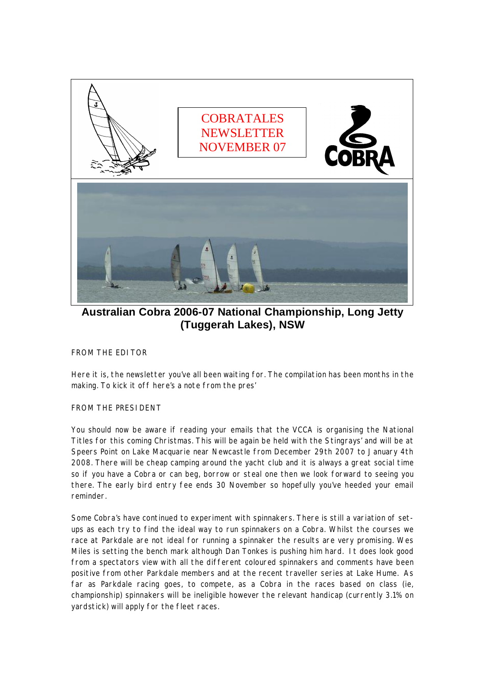

**Australian Cobra 2006-07 National Championship, Long Jetty (Tuggerah Lakes), NSW** 

FROM THE EDITOR

Here it is, the newsletter you've all been waiting for. The compilation has been months in the making. To kick it off here's a note from the pres'

FROM THE PRESIDENT

You should now be aware if reading your emails that the VCCA is organising the National Titles for this coming Christmas. This will be again be held with the Stingrays' and will be at Speers Point on Lake Macquarie near Newcastle from December 29th 2007 to January 4th 2008. There will be cheap camping around the yacht club and it is always a great social time so if you have a Cobra or can beg, borrow or steal one then we look forward to seeing you there. The early bird entry fee ends 30 November so hopefully you've heeded your email reminder.

Some Cobra's have continued to experiment with spinnakers. There is still a variation of setups as each try to find the ideal way to run spinnakers on a Cobra. Whilst the courses we race at Parkdale are not ideal for running a spinnaker the results are very promising. Wes Miles is setting the bench mark although Dan Tonkes is pushing him hard. It does look good from a spectators view with all the different coloured spinnakers and comments have been positive from other Parkdale members and at the recent traveller series at Lake Hume. As far as Parkdale racing goes, to compete, as a Cobra in the races based on class (ie, championship) spinnakers will be ineligible however the relevant handicap (currently 3.1% on yardstick) will apply for the fleet races.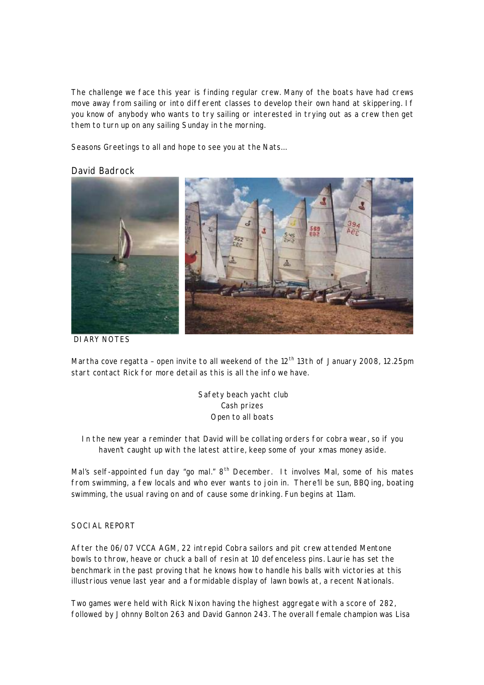The challenge we face this year is finding regular crew. Many of the boats have had crews move away from sailing or into different classes to develop their own hand at skippering. If you know of anybody who wants to try sailing or interested in trying out as a crew then get them to turn up on any sailing Sunday in the morning.

Seasons Greetings to all and hope to see you at the Nats…

#### David Badrock



DIARY NOTES

Martha cove regatta – open invite to all weekend of the 12<sup>th</sup> 13th of January 2008, 12.25pm start contact Rick for more detail as this is all the info we have.

> Safety beach yacht club Cash prizes Open to all boats

In the new year a reminder that David will be collating orders for cobra wear, so if you haven't caught up with the latest attire, keep some of your xmas money aside.

Mal's self-appointed fun day "go mal." 8<sup>th</sup> December. It involves Mal, some of his mates from swimming, a few locals and who ever wants to join in. There'll be sun, BBQing, boating swimming, the usual raving on and of cause some drinking. Fun begins at 11am.

#### SOCIAL REPORT

After the 06/07 VCCA AGM, 22 intrepid Cobra sailors and pit crew attended Mentone bowls to throw, heave or chuck a ball of resin at 10 defenceless pins. Laurie has set the benchmark in the past proving that he knows how to handle his balls with victories at this illustrious venue last year and a formidable display of lawn bowls at, a recent Nationals.

Two games were held with Rick Nixon having the highest aggregate with a score of 282, followed by Johnny Bolton 263 and David Gannon 243. The overall female champion was Lisa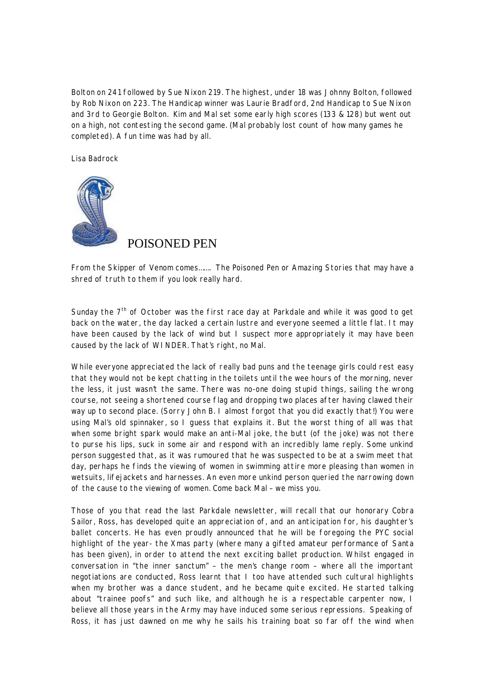Bolton on 241 followed by Sue Nixon 219. The highest, under 18 was Johnny Bolton, followed by Rob Nixon on 223. The Handicap winner was Laurie Bradford, 2nd Handicap to Sue Nixon and 3rd to Georgie Bolton. Kim and Mal set some early high scores (133 & 128) but went out on a high, not contesting the second game. (Mal probably lost count of how many games he completed). A fun time was had by all.

Lisa Badrock



## POISONED PEN

From the Skipper of Venom comes……. The Poisoned Pen or Amazing Stories that may have a shred of truth to them if you look really hard.

Sunday the 7<sup>th</sup> of October was the first race day at Parkdale and while it was good to get back on the water, the day lacked a certain lustre and everyone seemed a little flat. It may have been caused by the lack of wind but I suspect more appropriately it may have been caused by the lack of WINDER. That's right, no Mal.

While everyone appreciated the lack of really bad puns and the teenage girls could rest easy that they would not be kept chatting in the toilets until the wee hours of the morning, never the less, it just wasn't the same. There was no-one doing stupid things, sailing the wrong course, not seeing a shortened course flag and dropping two places after having clawed their way up to second place. (Sorry John B. I almost forgot that you did exactly that!) You were using Mal's old spinnaker, so I guess that explains it. But the worst thing of all was that when some bright spark would make an anti-Mal joke, the butt (of the joke) was not there to purse his lips, suck in some air and respond with an incredibly lame reply. Some unkind person suggested that, as it was rumoured that he was suspected to be at a swim meet that day, perhaps he finds the viewing of women in swimming attire more pleasing than women in wetsuits, lifejackets and harnesses. An even more unkind person queried the narrowing down of the cause to the viewing of women. Come back Mal – we miss you.

Those of you that read the last Parkdale newsletter, will recall that our honorary Cobra Sailor, Ross, has developed quite an appreciation of, and an anticipation for, his daughter's ballet concerts. He has even proudly announced that he will be foregoing the PYC social highlight of the year- the Xmas party (where many a gifted amateur performance of Santa has been given), in order to attend the next exciting ballet production. Whilst engaged in conversation in "the inner sanctum" – the men's change room – where all the important negotiations are conducted, Ross learnt that I too have attended such cultural highlights when my brother was a dance student, and he became quite excited. He started talking about "trainee poofs" and such like, and although he is a respectable carpenter now, I believe all those years in the Army may have induced some serious repressions. Speaking of Ross, it has just dawned on me why he sails his training boat so far off the wind when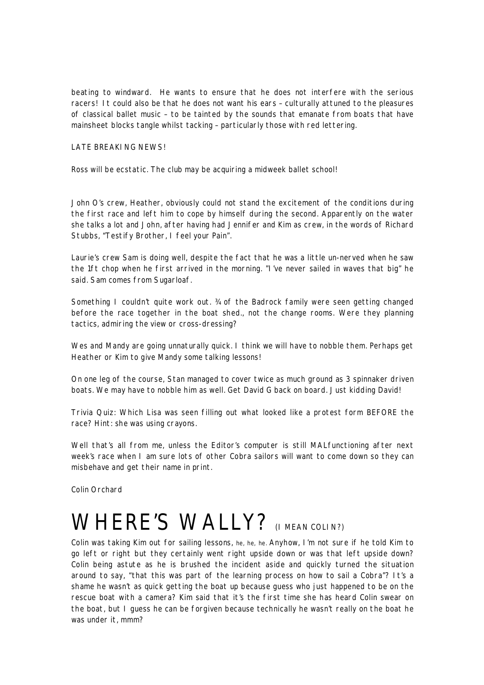beating to windward. He wants to ensure that he does not interfere with the serious racers! It could also be that he does not want his ears – culturally attuned to the pleasures of classical ballet music – to be tainted by the sounds that emanate from boats that have mainsheet blocks tangle whilst tacking – particularly those with red lettering.

#### LATE BREAKING NEWS!

Ross will be ecstatic. The club may be acquiring a midweek ballet school!

John O's crew, Heather, obviously could not stand the excitement of the conditions during the first race and left him to cope by himself during the second. Apparently on the water she talks a lot and John, after having had Jennifer and Kim as crew, in the words of Richard Stubbs, "Testify Brother, I feel your Pain".

Laurie's crew Sam is doing well, despite the fact that he was a little un-nerved when he saw the 1ft chop when he first arrived in the morning. "I've never sailed in waves that big" he said. Sam comes from Sugarloaf.

Something I couldn't quite work out. ¾ of the Badrock family were seen getting changed before the race together in the boat shed., not the change rooms. Were they planning tactics, admiring the view or cross-dressing?

Wes and Mandy are going unnaturally quick. I think we will have to nobble them. Perhaps get Heather or Kim to give Mandy some talking lessons!

On one leg of the course, Stan managed to cover twice as much ground as 3 spinnaker driven boats. We may have to nobble him as well. Get David G back on board. Just kidding David!

Trivia Quiz: Which Lisa was seen filling out what looked like a protest form BEFORE the race? Hint: she was using crayons.

Well that's all from me, unless the Editor's computer is still MALfunctioning after next week's race when I am sure lots of other Cobra sailors will want to come down so they can misbehave and get their name in print.

Colin Orchard

# WHERE'S WALLY? (I MEAN COLIN?)

Colin was taking Kim out for sailing lessons, he, he, he. Anyhow, I'm not sure if he told Kim to go left or right but they certainly went right upside down or was that left upside down? Colin being astute as he is brushed the incident aside and quickly turned the situation around to say, "that this was part of the learning process on how to sail a Cobra"? It's a shame he wasn't as quick getting the boat up because guess who just happened to be on the rescue boat with a camera? Kim said that it's the first time she has heard Colin swear on the boat, but I guess he can be forgiven because technically he wasn't really on the boat he was under it, mmm?